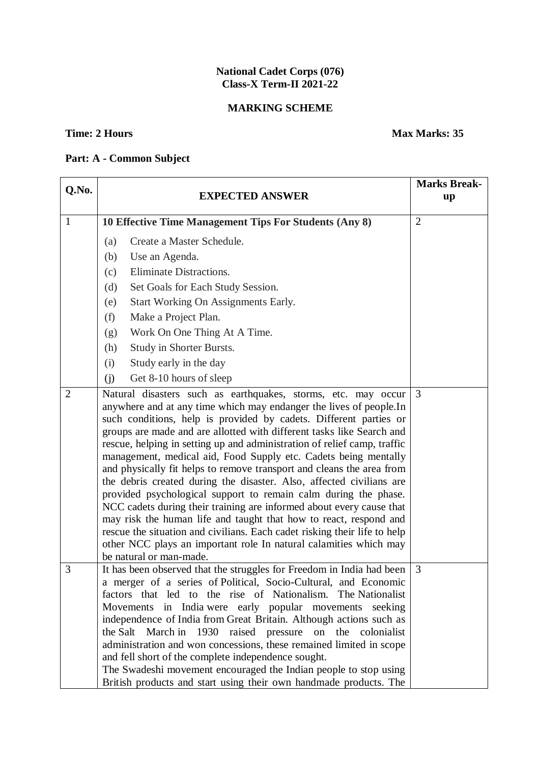#### **National Cadet Corps (076) Class-X Term-II 2021-22**

## **MARKING SCHEME**

#### **Time: 2 Hours Max Marks: 35**

# **Part: A - Common Subject**

| Q.No.          |                                                                                                                                                                                                                                                                                                                                                                                                                                                                                                                                                                                                                                                                                                                                                                                                                                                                                                                                                                                 | <b>Marks Break-</b> |
|----------------|---------------------------------------------------------------------------------------------------------------------------------------------------------------------------------------------------------------------------------------------------------------------------------------------------------------------------------------------------------------------------------------------------------------------------------------------------------------------------------------------------------------------------------------------------------------------------------------------------------------------------------------------------------------------------------------------------------------------------------------------------------------------------------------------------------------------------------------------------------------------------------------------------------------------------------------------------------------------------------|---------------------|
|                | <b>EXPECTED ANSWER</b>                                                                                                                                                                                                                                                                                                                                                                                                                                                                                                                                                                                                                                                                                                                                                                                                                                                                                                                                                          | up                  |
| 1              | 10 Effective Time Management Tips For Students (Any 8)                                                                                                                                                                                                                                                                                                                                                                                                                                                                                                                                                                                                                                                                                                                                                                                                                                                                                                                          | $\overline{2}$      |
|                | Create a Master Schedule.<br>(a)                                                                                                                                                                                                                                                                                                                                                                                                                                                                                                                                                                                                                                                                                                                                                                                                                                                                                                                                                |                     |
|                | Use an Agenda.<br>(b)                                                                                                                                                                                                                                                                                                                                                                                                                                                                                                                                                                                                                                                                                                                                                                                                                                                                                                                                                           |                     |
|                | Eliminate Distractions.<br>(c)                                                                                                                                                                                                                                                                                                                                                                                                                                                                                                                                                                                                                                                                                                                                                                                                                                                                                                                                                  |                     |
|                | Set Goals for Each Study Session.<br>(d)                                                                                                                                                                                                                                                                                                                                                                                                                                                                                                                                                                                                                                                                                                                                                                                                                                                                                                                                        |                     |
|                | Start Working On Assignments Early.<br>(e)                                                                                                                                                                                                                                                                                                                                                                                                                                                                                                                                                                                                                                                                                                                                                                                                                                                                                                                                      |                     |
|                | (f)<br>Make a Project Plan.                                                                                                                                                                                                                                                                                                                                                                                                                                                                                                                                                                                                                                                                                                                                                                                                                                                                                                                                                     |                     |
|                | Work On One Thing At A Time.<br>(g)                                                                                                                                                                                                                                                                                                                                                                                                                                                                                                                                                                                                                                                                                                                                                                                                                                                                                                                                             |                     |
|                | Study in Shorter Bursts.<br>(h)                                                                                                                                                                                                                                                                                                                                                                                                                                                                                                                                                                                                                                                                                                                                                                                                                                                                                                                                                 |                     |
|                | Study early in the day<br>(i)                                                                                                                                                                                                                                                                                                                                                                                                                                                                                                                                                                                                                                                                                                                                                                                                                                                                                                                                                   |                     |
|                | Get 8-10 hours of sleep<br>(i)                                                                                                                                                                                                                                                                                                                                                                                                                                                                                                                                                                                                                                                                                                                                                                                                                                                                                                                                                  |                     |
| $\overline{2}$ | Natural disasters such as earthquakes, storms, etc. may occur<br>anywhere and at any time which may endanger the lives of people. In<br>such conditions, help is provided by cadets. Different parties or<br>groups are made and are allotted with different tasks like Search and<br>rescue, helping in setting up and administration of relief camp, traffic<br>management, medical aid, Food Supply etc. Cadets being mentally<br>and physically fit helps to remove transport and cleans the area from<br>the debris created during the disaster. Also, affected civilians are<br>provided psychological support to remain calm during the phase.<br>NCC cadets during their training are informed about every cause that<br>may risk the human life and taught that how to react, respond and<br>rescue the situation and civilians. Each cadet risking their life to help<br>other NCC plays an important role In natural calamities which may<br>be natural or man-made. | 3                   |
| 3              | It has been observed that the struggles for Freedom in India had been<br>a merger of a series of Political, Socio-Cultural, and Economic<br>factors that led to the rise of Nationalism. The Nationalist<br>Movements in India were early popular movements seeking<br>independence of India from Great Britain. Although actions such as<br>the Salt March in 1930 raised pressure on the colonialist<br>administration and won concessions, these remained limited in scope<br>and fell short of the complete independence sought.<br>The Swadeshi movement encouraged the Indian people to stop using<br>British products and start using their own handmade products. The                                                                                                                                                                                                                                                                                                   | 3                   |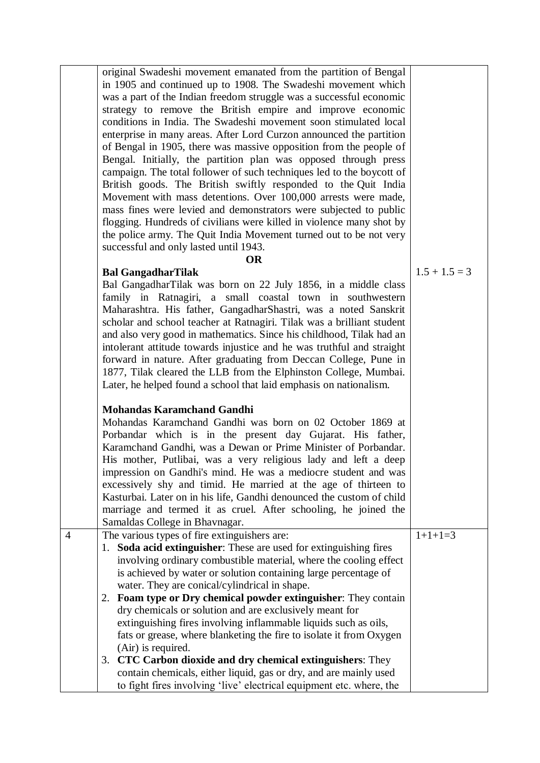original Swadeshi movement emanated from the partition of Bengal in 1905 and continued up to 1908. The Swadeshi movement which was a part of the Indian freedom struggle was a successful economic strategy to remove the British empire and improve economic conditions in India. The Swadeshi movement soon stimulated local enterprise in many areas. After Lord Curzon announced the partition of Bengal in 1905, there was massive opposition from the people of Bengal. Initially, the partition plan was opposed through press campaign. The total follower of such techniques led to the boycott of British goods. The British swiftly responded to the Quit India Movement with mass detentions. Over 100,000 arrests were made, mass fines were levied and demonstrators were subjected to public flogging. Hundreds of civilians were killed in violence many shot by the police army. The Quit India Movement turned out to be not very successful and only lasted until 1943.

**OR**

#### **Bal GangadharTilak**

Bal GangadharTilak was born on 22 July 1856, in a middle class family in Ratnagiri, a small coastal town in southwestern Maharashtra. His father, GangadharShastri, was a noted Sanskrit scholar and school teacher at Ratnagiri. Tilak was a brilliant student and also very good in mathematics. Since his childhood, Tilak had an intolerant attitude towards injustice and he was truthful and straight forward in nature. After graduating from Deccan College, Pune in 1877, Tilak cleared the LLB from the Elphinston College, Mumbai. Later, he helped found a school that laid emphasis on nationalism.

#### **Mohandas Karamchand Gandhi**

Mohandas Karamchand Gandhi was born on 02 October 1869 at Porbandar which is in the present day Gujarat. His father, Karamchand Gandhi, was a Dewan or Prime Minister of Porbandar. His mother, Putlibai, was a very religious lady and left a deep impression on Gandhi's mind. He was a mediocre student and was excessively shy and timid. He married at the age of thirteen to Kasturbai. Later on in his life, Gandhi denounced the custom of child marriage and termed it as cruel. After schooling, he joined the Samaldas College in Bhavnagar. 4 The various types of fire extinguishers are:

- 1. **Soda acid extinguisher**: These are used for extinguishing fires involving ordinary combustible material, where the cooling effect is achieved by water or solution containing large percentage of water. They are conical/cylindrical in shape. 2. **Foam type or Dry chemical powder extinguisher**: They contain dry chemicals or solution and are exclusively meant for extinguishing fires involving inflammable liquids such as oils, fats or grease, where blanketing the fire to isolate it from Oxygen (Air) is required.
	- 3. **CTC Carbon dioxide and dry chemical extinguishers**: They contain chemicals, either liquid, gas or dry, and are mainly used to fight fires involving 'live' electrical equipment etc. where, the

 $1.5 + 1.5 = 3$ 

 $1+1+1=3$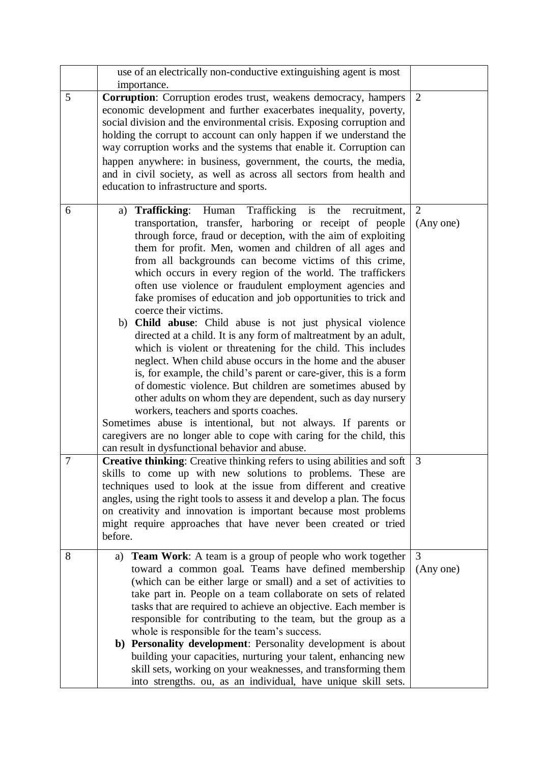|                | use of an electrically non-conductive extinguishing agent is most<br>importance.                                                                                                                                                                                                                                                                                                                                                                                                                                                                                                                                                                                                                                                                                                                                                                                                                                                                                                                                                                                                                                                                                                                                                                      |                |
|----------------|-------------------------------------------------------------------------------------------------------------------------------------------------------------------------------------------------------------------------------------------------------------------------------------------------------------------------------------------------------------------------------------------------------------------------------------------------------------------------------------------------------------------------------------------------------------------------------------------------------------------------------------------------------------------------------------------------------------------------------------------------------------------------------------------------------------------------------------------------------------------------------------------------------------------------------------------------------------------------------------------------------------------------------------------------------------------------------------------------------------------------------------------------------------------------------------------------------------------------------------------------------|----------------|
| 5              | Corruption: Corruption erodes trust, weakens democracy, hampers<br>economic development and further exacerbates inequality, poverty,<br>social division and the environmental crisis. Exposing corruption and<br>holding the corrupt to account can only happen if we understand the<br>way corruption works and the systems that enable it. Corruption can<br>happen anywhere: in business, government, the courts, the media,<br>and in civil society, as well as across all sectors from health and<br>education to infrastructure and sports.                                                                                                                                                                                                                                                                                                                                                                                                                                                                                                                                                                                                                                                                                                     | $\overline{2}$ |
| 6              | <b>Trafficking:</b> Human Trafficking is<br>the<br>recruitment,<br>a)<br>transportation, transfer, harboring or receipt of people<br>through force, fraud or deception, with the aim of exploiting<br>them for profit. Men, women and children of all ages and<br>from all backgrounds can become victims of this crime,<br>which occurs in every region of the world. The traffickers<br>often use violence or fraudulent employment agencies and<br>fake promises of education and job opportunities to trick and<br>coerce their victims.<br>b) Child abuse: Child abuse is not just physical violence<br>directed at a child. It is any form of maltreatment by an adult,<br>which is violent or threatening for the child. This includes<br>neglect. When child abuse occurs in the home and the abuser<br>is, for example, the child's parent or care-giver, this is a form<br>of domestic violence. But children are sometimes abused by<br>other adults on whom they are dependent, such as day nursery<br>workers, teachers and sports coaches.<br>Sometimes abuse is intentional, but not always. If parents or<br>caregivers are no longer able to cope with caring for the child, this<br>can result in dysfunctional behavior and abuse. | 2<br>(Any one) |
| $\overline{7}$ | Creative thinking: Creative thinking refers to using abilities and soft<br>skills to come up with new solutions to problems. These are<br>techniques used to look at the issue from different and creative<br>angles, using the right tools to assess it and develop a plan. The focus<br>on creativity and innovation is important because most problems<br>might require approaches that have never been created or tried<br>before.                                                                                                                                                                                                                                                                                                                                                                                                                                                                                                                                                                                                                                                                                                                                                                                                                | 3              |
| 8              | a) Team Work: A team is a group of people who work together<br>toward a common goal. Teams have defined membership<br>(which can be either large or small) and a set of activities to<br>take part in. People on a team collaborate on sets of related<br>tasks that are required to achieve an objective. Each member is<br>responsible for contributing to the team, but the group as a<br>whole is responsible for the team's success.<br>b) Personality development: Personality development is about<br>building your capacities, nurturing your talent, enhancing new<br>skill sets, working on your weaknesses, and transforming them<br>into strengths. ou, as an individual, have unique skill sets.                                                                                                                                                                                                                                                                                                                                                                                                                                                                                                                                         | 3<br>(Any one) |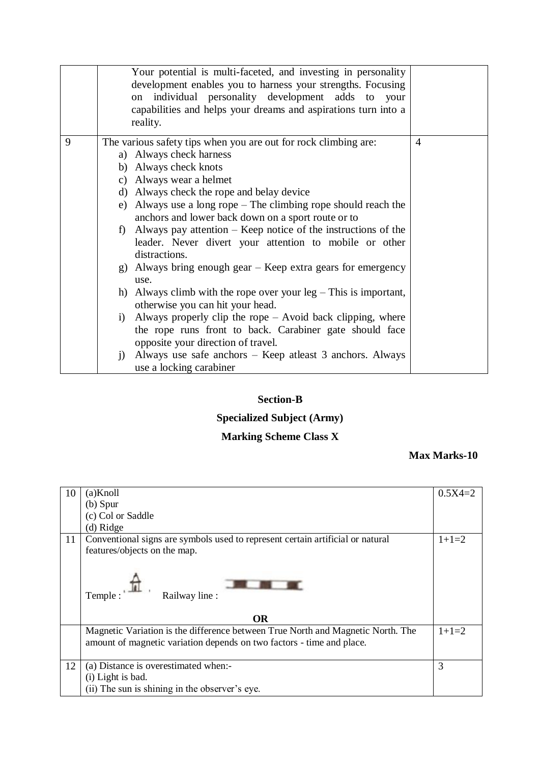|   | Your potential is multi-faceted, and investing in personality          |                |
|---|------------------------------------------------------------------------|----------------|
|   | development enables you to harness your strengths. Focusing            |                |
|   | on individual personality development adds to your                     |                |
|   | capabilities and helps your dreams and aspirations turn into a         |                |
|   | reality.                                                               |                |
| 9 | The various safety tips when you are out for rock climbing are:        | $\overline{4}$ |
|   | a) Always check harness                                                |                |
|   | b) Always check knots                                                  |                |
|   | c) Always wear a helmet                                                |                |
|   | d) Always check the rope and belay device                              |                |
|   | e) Always use a long rope – The climbing rope should reach the         |                |
|   | anchors and lower back down on a sport route or to                     |                |
|   | f) Always pay attention $-$ Keep notice of the instructions of the     |                |
|   | leader. Never divert your attention to mobile or other                 |                |
|   | distractions.                                                          |                |
|   | g) Always bring enough gear – Keep extra gears for emergency           |                |
|   | use.                                                                   |                |
|   | h) Always climb with the rope over your $leg$ – This is important,     |                |
|   | otherwise you can hit your head.                                       |                |
|   | i) Always properly clip the rope – Avoid back clipping, where          |                |
|   | the rope runs front to back. Carabiner gate should face                |                |
|   | opposite your direction of travel.                                     |                |
|   | Always use safe anchors – Keep atleast 3 anchors. Always<br>$\ddot{1}$ |                |
|   | use a locking carabiner                                                |                |

## **Section-B**

# **Specialized Subject (Army)**

# **Marking Scheme Class X**

### **Max Marks-10**

| 10 | $(a)$ Knoll                                                                     | $0.5X4=2$ |
|----|---------------------------------------------------------------------------------|-----------|
|    | $(b)$ Spur                                                                      |           |
|    | (c) Col or Saddle                                                               |           |
|    | (d) Ridge                                                                       |           |
| 11 | Conventional signs are symbols used to represent certain artificial or natural  | $1+1=2$   |
|    | features/objects on the map.                                                    |           |
|    |                                                                                 |           |
|    | Railway line:<br>Temple:                                                        |           |
|    | <b>OR</b>                                                                       |           |
|    | Magnetic Variation is the difference between True North and Magnetic North. The | $1+1=2$   |
|    | amount of magnetic variation depends on two factors - time and place.           |           |
|    |                                                                                 |           |
| 12 | (a) Distance is overestimated when:-                                            | 3         |
|    | (i) Light is bad.                                                               |           |
|    | (ii) The sun is shining in the observer's eye.                                  |           |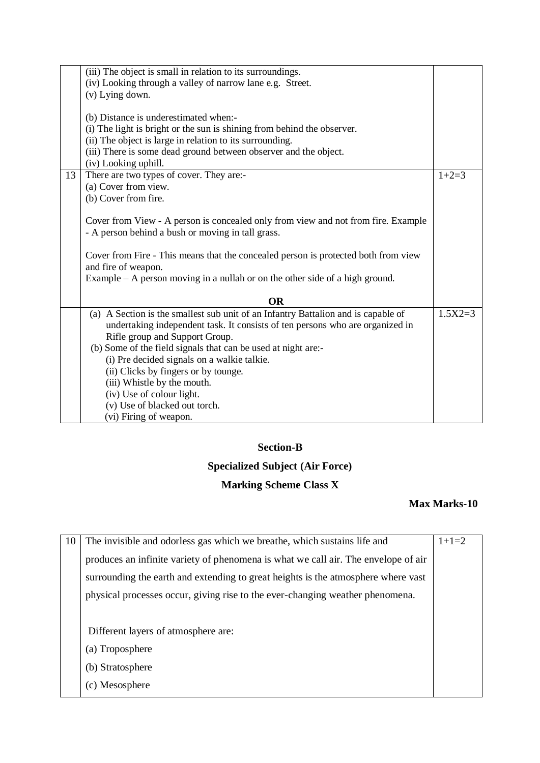|    | (iii) The object is small in relation to its surroundings.                         |           |
|----|------------------------------------------------------------------------------------|-----------|
|    | (iv) Looking through a valley of narrow lane e.g. Street.                          |           |
|    | $(v)$ Lying down.                                                                  |           |
|    |                                                                                    |           |
|    | (b) Distance is underestimated when:-                                              |           |
|    | (i) The light is bright or the sun is shining from behind the observer.            |           |
|    | (ii) The object is large in relation to its surrounding.                           |           |
|    | (iii) There is some dead ground between observer and the object.                   |           |
|    | (iv) Looking uphill.                                                               |           |
| 13 | There are two types of cover. They are:-                                           | $1+2=3$   |
|    | (a) Cover from view.                                                               |           |
|    | (b) Cover from fire.                                                               |           |
|    |                                                                                    |           |
|    | Cover from View - A person is concealed only from view and not from fire. Example  |           |
|    | - A person behind a bush or moving in tall grass.                                  |           |
|    |                                                                                    |           |
|    | Cover from Fire - This means that the concealed person is protected both from view |           |
|    | and fire of weapon.                                                                |           |
|    | Example $- A$ person moving in a nullah or on the other side of a high ground.     |           |
|    |                                                                                    |           |
|    | <b>OR</b>                                                                          |           |
|    | (a) A Section is the smallest sub unit of an Infantry Battalion and is capable of  | $1.5X2=3$ |
|    | undertaking independent task. It consists of ten persons who are organized in      |           |
|    | Rifle group and Support Group.                                                     |           |
|    | (b) Some of the field signals that can be used at night are:-                      |           |
|    | (i) Pre decided signals on a walkie talkie.                                        |           |
|    | (ii) Clicks by fingers or by tounge.                                               |           |
|    | (iii) Whistle by the mouth.                                                        |           |
|    | (iv) Use of colour light.                                                          |           |
|    | (v) Use of blacked out torch.                                                      |           |
|    | (vi) Firing of weapon.                                                             |           |

## **Section-B**

# **Specialized Subject (Air Force)**

# **Marking Scheme Class X**

## **Max Marks-10**

| 10 | The invisible and odorless gas which we breathe, which sustains life and           | $1+1=2$ |
|----|------------------------------------------------------------------------------------|---------|
|    | produces an infinite variety of phenomena is what we call air. The envelope of air |         |
|    | surrounding the earth and extending to great heights is the atmosphere where vast  |         |
|    | physical processes occur, giving rise to the ever-changing weather phenomena.      |         |
|    |                                                                                    |         |
|    | Different layers of atmosphere are:                                                |         |
|    | (a) Troposphere                                                                    |         |
|    | (b) Stratosphere                                                                   |         |
|    | (c) Mesosphere                                                                     |         |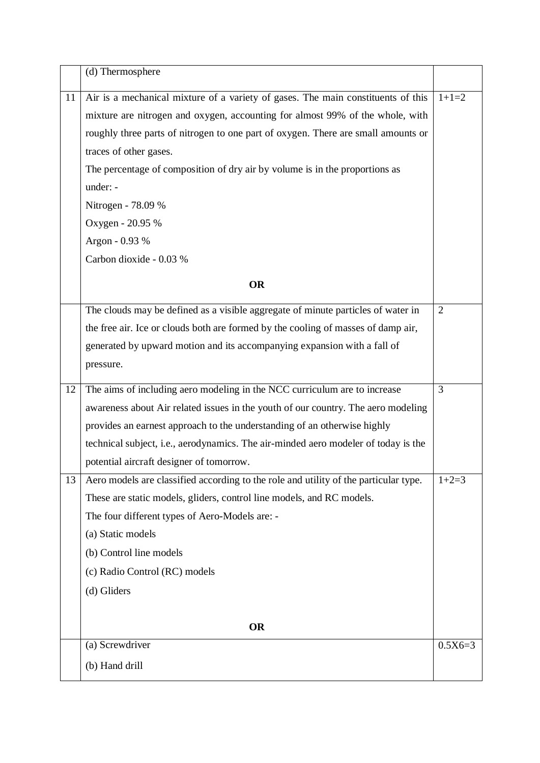|    | (d) Thermosphere                                                                     |                |
|----|--------------------------------------------------------------------------------------|----------------|
| 11 | Air is a mechanical mixture of a variety of gases. The main constituents of this     | $1+1=2$        |
|    | mixture are nitrogen and oxygen, accounting for almost 99% of the whole, with        |                |
|    | roughly three parts of nitrogen to one part of oxygen. There are small amounts or    |                |
|    | traces of other gases.                                                               |                |
|    | The percentage of composition of dry air by volume is in the proportions as          |                |
|    | under: -                                                                             |                |
|    | Nitrogen - 78.09 %                                                                   |                |
|    | Oxygen - 20.95 %                                                                     |                |
|    | Argon - 0.93 %                                                                       |                |
|    | Carbon dioxide - 0.03 %                                                              |                |
|    | <b>OR</b>                                                                            |                |
|    | The clouds may be defined as a visible aggregate of minute particles of water in     | $\overline{2}$ |
|    | the free air. Ice or clouds both are formed by the cooling of masses of damp air,    |                |
|    | generated by upward motion and its accompanying expansion with a fall of             |                |
|    | pressure.                                                                            |                |
|    |                                                                                      |                |
| 12 | The aims of including aero modeling in the NCC curriculum are to increase            | 3              |
|    | awareness about Air related issues in the youth of our country. The aero modeling    |                |
|    | provides an earnest approach to the understanding of an otherwise highly             |                |
|    | technical subject, i.e., aerodynamics. The air-minded aero modeler of today is the   |                |
|    | potential aircraft designer of tomorrow.                                             |                |
| 13 | Aero models are classified according to the role and utility of the particular type. | $1+2=3$        |
|    | These are static models, gliders, control line models, and RC models.                |                |
|    | The four different types of Aero-Models are: -                                       |                |
|    | (a) Static models                                                                    |                |
|    | (b) Control line models                                                              |                |
|    | (c) Radio Control (RC) models                                                        |                |
|    | (d) Gliders                                                                          |                |
|    | <b>OR</b>                                                                            |                |
|    | (a) Screwdriver                                                                      | $0.5X6 = 3$    |
|    | (b) Hand drill                                                                       |                |
|    |                                                                                      |                |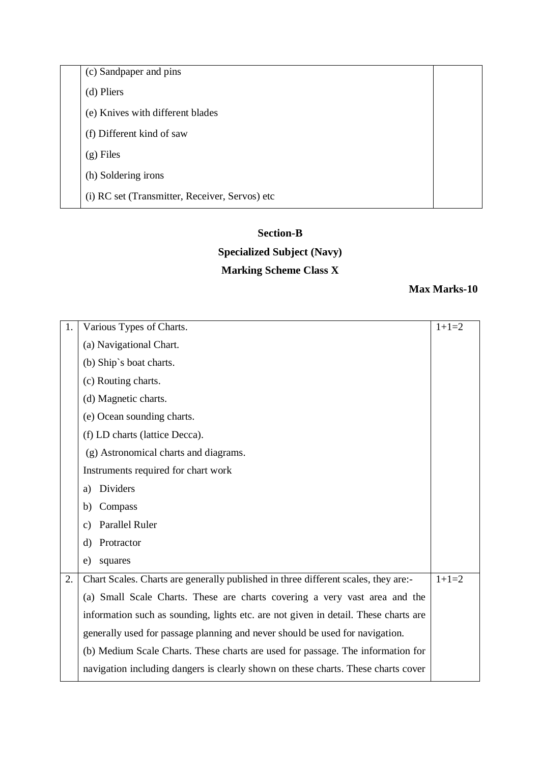(c) Sandpaper and pins

(d) Pliers

(e) Knives with different blades

(f) Different kind of saw

(g) Files

(h) Soldering irons

(i) RC set (Transmitter, Receiver, Servos) etc

#### **Section-B**

# **Specialized Subject (Navy)**

## **Marking Scheme Class X**

#### **Max Marks-10**

| 1. | Various Types of Charts.                                                            | $1+1=2$ |
|----|-------------------------------------------------------------------------------------|---------|
|    | (a) Navigational Chart.                                                             |         |
|    | (b) Ship's boat charts.                                                             |         |
|    | (c) Routing charts.                                                                 |         |
|    | (d) Magnetic charts.                                                                |         |
|    | (e) Ocean sounding charts.                                                          |         |
|    | (f) LD charts (lattice Decca).                                                      |         |
|    | (g) Astronomical charts and diagrams.                                               |         |
|    | Instruments required for chart work                                                 |         |
|    | <b>Dividers</b><br>a)                                                               |         |
|    | Compass<br>b)                                                                       |         |
|    | Parallel Ruler<br>C)                                                                |         |
|    | Protractor<br>$\mathbf{d}$                                                          |         |
|    | squares<br>e)                                                                       |         |
| 2. | Chart Scales. Charts are generally published in three different scales, they are:-  | $1+1=2$ |
|    | (a) Small Scale Charts. These are charts covering a very vast area and the          |         |
|    | information such as sounding, lights etc. are not given in detail. These charts are |         |
|    | generally used for passage planning and never should be used for navigation.        |         |
|    | (b) Medium Scale Charts. These charts are used for passage. The information for     |         |
|    | navigation including dangers is clearly shown on these charts. These charts cover   |         |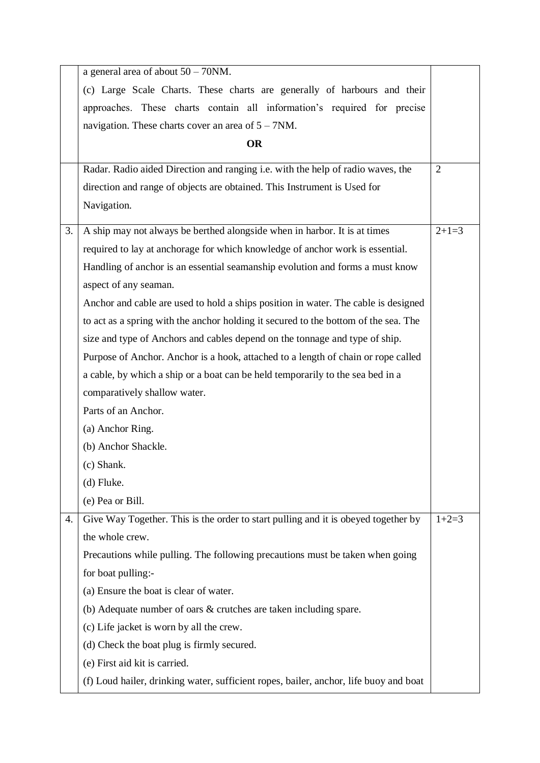|    | a general area of about $50 - 70NM$ .                                                 |         |
|----|---------------------------------------------------------------------------------------|---------|
|    | (c) Large Scale Charts. These charts are generally of harbours and their              |         |
|    | approaches. These charts contain all information's required for precise               |         |
|    | navigation. These charts cover an area of $5 - 7NM$ .                                 |         |
|    | <b>OR</b>                                                                             |         |
|    | Radar. Radio aided Direction and ranging i.e. with the help of radio waves, the       | 2       |
|    | direction and range of objects are obtained. This Instrument is Used for              |         |
|    | Navigation.                                                                           |         |
|    |                                                                                       |         |
| 3. | A ship may not always be berthed alongside when in harbor. It is at times             | $2+1=3$ |
|    | required to lay at anchorage for which knowledge of anchor work is essential.         |         |
|    | Handling of anchor is an essential seamanship evolution and forms a must know         |         |
|    | aspect of any seaman.                                                                 |         |
|    | Anchor and cable are used to hold a ships position in water. The cable is designed    |         |
|    | to act as a spring with the anchor holding it secured to the bottom of the sea. The   |         |
|    | size and type of Anchors and cables depend on the tonnage and type of ship.           |         |
|    | Purpose of Anchor. Anchor is a hook, attached to a length of chain or rope called     |         |
|    | a cable, by which a ship or a boat can be held temporarily to the sea bed in a        |         |
|    | comparatively shallow water.                                                          |         |
|    | Parts of an Anchor.                                                                   |         |
|    | (a) Anchor Ring.                                                                      |         |
|    | (b) Anchor Shackle.                                                                   |         |
|    | (c) Shank.                                                                            |         |
|    | $(d)$ Fluke.                                                                          |         |
|    | (e) Pea or Bill.                                                                      |         |
| 4. | Give Way Together. This is the order to start pulling and it is obeyed together by    | $1+2=3$ |
|    | the whole crew.                                                                       |         |
|    | Precautions while pulling. The following precautions must be taken when going         |         |
|    | for boat pulling:-                                                                    |         |
|    | (a) Ensure the boat is clear of water.                                                |         |
|    | (b) Adequate number of oars & crutches are taken including spare.                     |         |
|    | (c) Life jacket is worn by all the crew.                                              |         |
|    | (d) Check the boat plug is firmly secured.                                            |         |
|    | (e) First aid kit is carried.                                                         |         |
|    | (f) Loud hailer, drinking water, sufficient ropes, bailer, anchor, life buoy and boat |         |